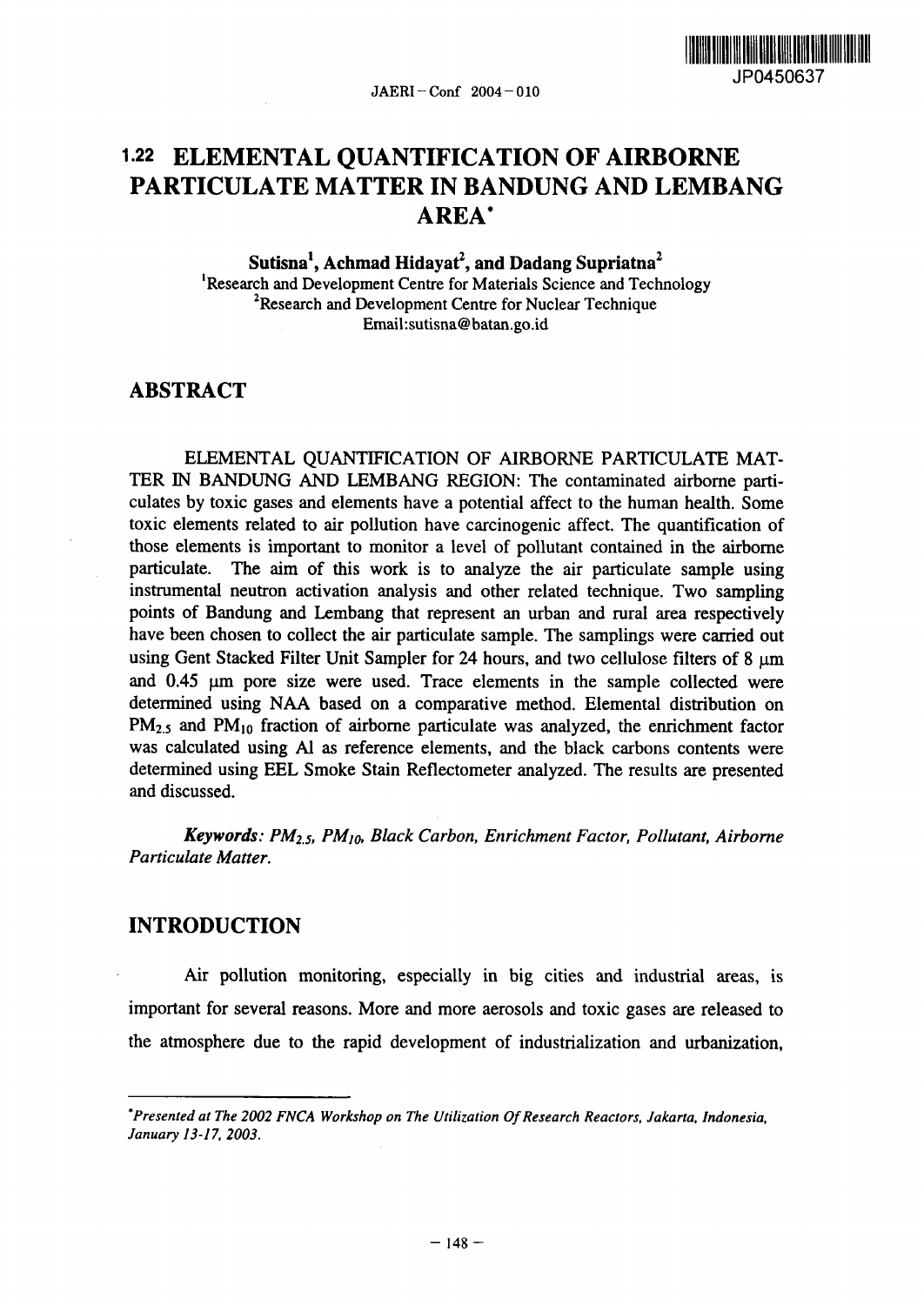

# **1.22** ELEMENTAL QUANTIFICATION OF AIRBORNE PARTICULATE MATTER IN BANDUNG AND LEMBANG AREA\*

Sutisna<sup>1</sup>, Achmad Hidayat<sup>2</sup>, and Dadang Supriatna<sup>2</sup> 'Research and Development Centre for Materials Science and Technology <sup>2</sup>Research and Development Centre for Nuclear Technique Email:sutisna@batan.go.id

# ABSTRACT

ELEMENTAL QUANTIFICATION OF AIRBORNE PARTICULATE MAT-TER IN BANDUNG AND LEMBANG REGION: The contaminated airborne particulates by toxic gases and elements have a potential affect to the human health. Some toxic elements related to air pollution have carcinogenic affect. The quantification of those elements is important to monitor a level of pollutant contained in the airborne particulate. The aim of this work is to analyze the air particulate sample using instrumental neutron activation analysis and other related technique. Two sampling points of Bandung and Lembang that represent an urban and rural area respectively have been chosen to collect the air particulate sample. The samplings were carried out using Gent Stacked Filter Unit Sampler for 24 hours, and two cellulose filters of  $8 \mu m$ and 0.45 µm pore size were used. Trace elements in the sample collected were determined using NAA based on a comparative method. Elemental distribution on PM<sub>2.5</sub> and PM<sub>10</sub> fraction of airborne particulate was analyzed, the enrichment factor was calculated using Al as reference elements, and the black carbons contents were determined using EEL Smoke Stain Reflectometer analyzed. The results are presented and discussed.

*Keywords: P02.5, PM10, Black Carbon, Enrichment Factor, Pollutant, Airborne Particulate Matter.*

# INTRODUCTION

Air pollution monitoring, especially in big cities and industrial areas, is important for several reasons. More and more aerosols and toxic gases are released to the atmosphere due to the rapid development of industrialization and urbanization,

*<sup>\*</sup>Presented at The 2002 NCA Workshop on The Utilization Of Research Reactors, Jakarta, Indonesia, January 13-17, 2003.*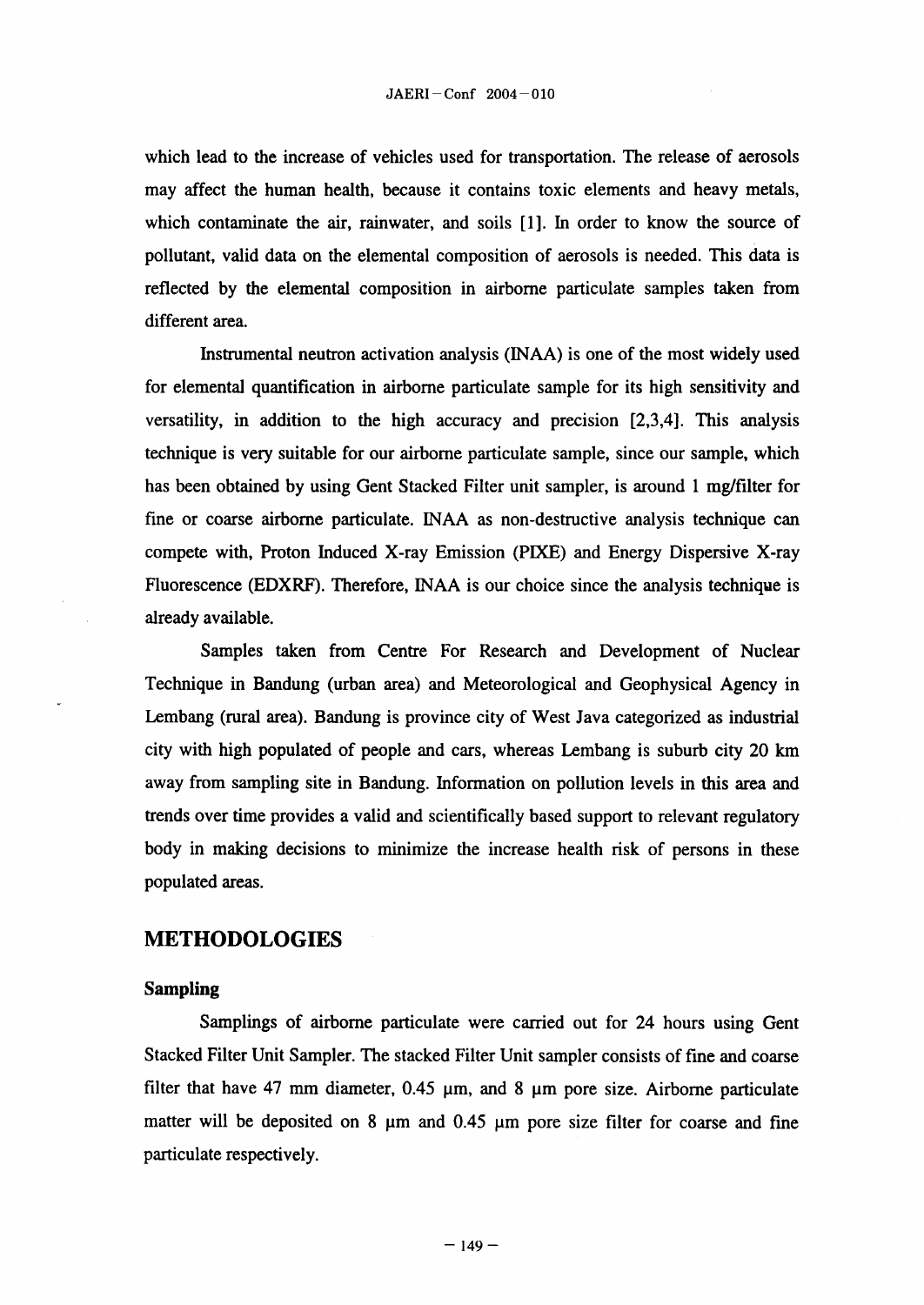which lead to the increase of vehicles used for transportation. The release of aerosols may affect the human health, because it contains toxic elements and heavy metals, which contaminate the air, rainwater, and soils [1]. In order to know the source of pollutant, valid data on the elemental composition of aerosols is needed. This data is reflected by the elemental composition in airborne particulate samples taken from different area.

Instrumental neutron activation analysis (INAA) is one of the most widely used for elemental quantification in airborne particulate sample for its high sensitivity and versatility, in addition to the high accuracy and precision 23,4]. This analysis technique is very suitable for our airborne particulate sample, since our sample, which has been obtained by using Gent Stacked Filter unit sampler, is around 1 mg/filter for fine or coarse airborne particulate. INAA as non-destructive analysis technique can compete with, Proton Induced X-ray Emission (PIXE) and Energy Dispersive X-ray Fluorescence (EDXRF). Therefore, INAA is our choice since the analysis technique is already available.

Samples taken from Centre For Research and Development of Nuclear Technique in Bandung (urban area) and Meteorological and Geophysical Agency in Lembang (rural area). Bandung is province city of West Java categorized as industrial city with high populated of people and cars, whereas Lernbang is suburb city 20 km away from sampling site in Bandung. Information on pollution levels in this area and trends over time provides a valid and scientifically based support to relevant regulatory body in making decisions to minimize the increase health risk of persons in these populated areas.

#### METHODOLOGIES

#### **Sampling**

Samplings of airborne particulate were carried out for 24 hours using Gent Stacked Filter Unit Sampler. The stacked Filter Unit sampler consists of fine and coarse filter that have 47 mm diameter,  $0.45 \mu m$ , and 8  $\mu m$  pore size. Airborne particulate matter will be deposited on 8  $\mu$ m and 0.45  $\mu$ m pore size filter for coarse and fine particulate respectively.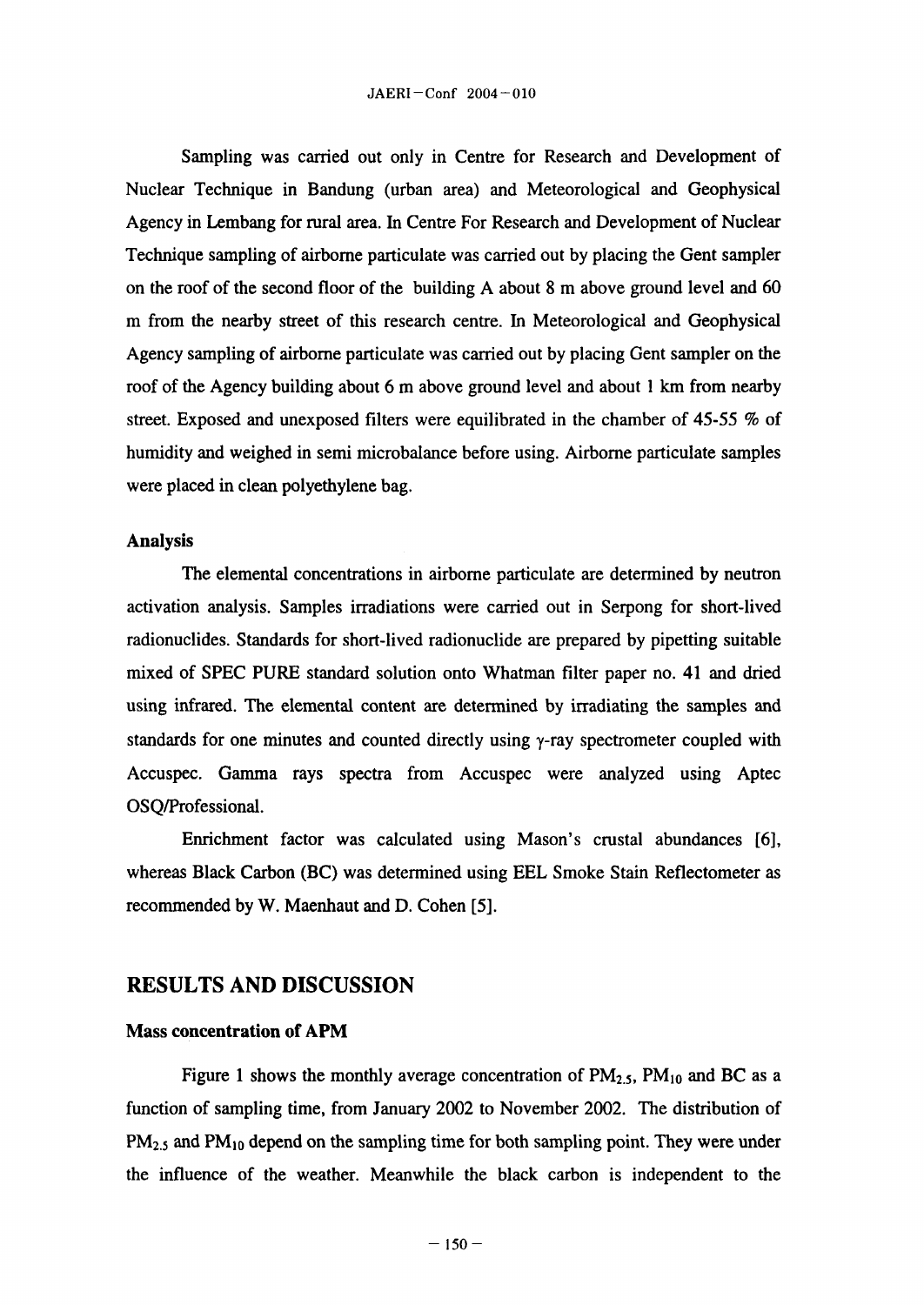Sampling was carried out only in Centre for Research and Development of Nuclear Technique in Bandung (urban area) and Meteorological and Geophysical Agency in Lembang for rural area. In Centre For Research and Development of Nuclear Technique sampling of airborne particulate was carried out by placing the Gent sampler on the roof of the second floor of the building A about 8 m above ground level and  $60$ m from the nearby street of this research centre. In Meteorological and Geophysical Agency sampling of airborne particulate was carried out by placing Gent sampler on the roof of the Agency building about 6 m above ground level and about 1 km from nearby street. Exposed and unexposed filters were equilibrated in the chamber of  $45-55$  % of humidity and weighed in semi microbalance before using. Airborne particulate samples were placed in clean polyethylene bag.

#### **Analysis**

The elemental concentrations in airborne particulate are determined by neutron activation analysis. Samples irradiations were carried out in Serpong for short-lived radionuclides. Standards for short-lived radionuclide are prepared by pipetting suitable mixed of SPEC PURE standard solution onto Whatman **filter** paper no. 41 and dried using infrared. The elemental content are determined by irradiating the samples and standards for one minutes and counted directly using  $\gamma$ -ray spectrometer coupled with Accuspec. Gamma rays spectra from Accuspec were analyzed using Aptec 0SQ/Professional.

Enrichment factor was calculated using Mason's crustal abundances [6], whereas Black Carbon (BC) was determined using EEL Smoke Stain Reflectometer as recommended by W. Maenhaut and D. Cohen [5].

# **RESULTS AND DISCUSSION**

#### **Mass concentration of APM**

Figure 1 shows the monthly average concentration of  $PM_{2.5}$ ,  $PM_{10}$  and BC as a function of sampling time, from January 2002 to November 2002. The distribution of  $PM_{2.5}$  and  $PM_{10}$  depend on the sampling time for both sampling point. They were under the influence of the weather. Meanwhile the black carbon is independent to the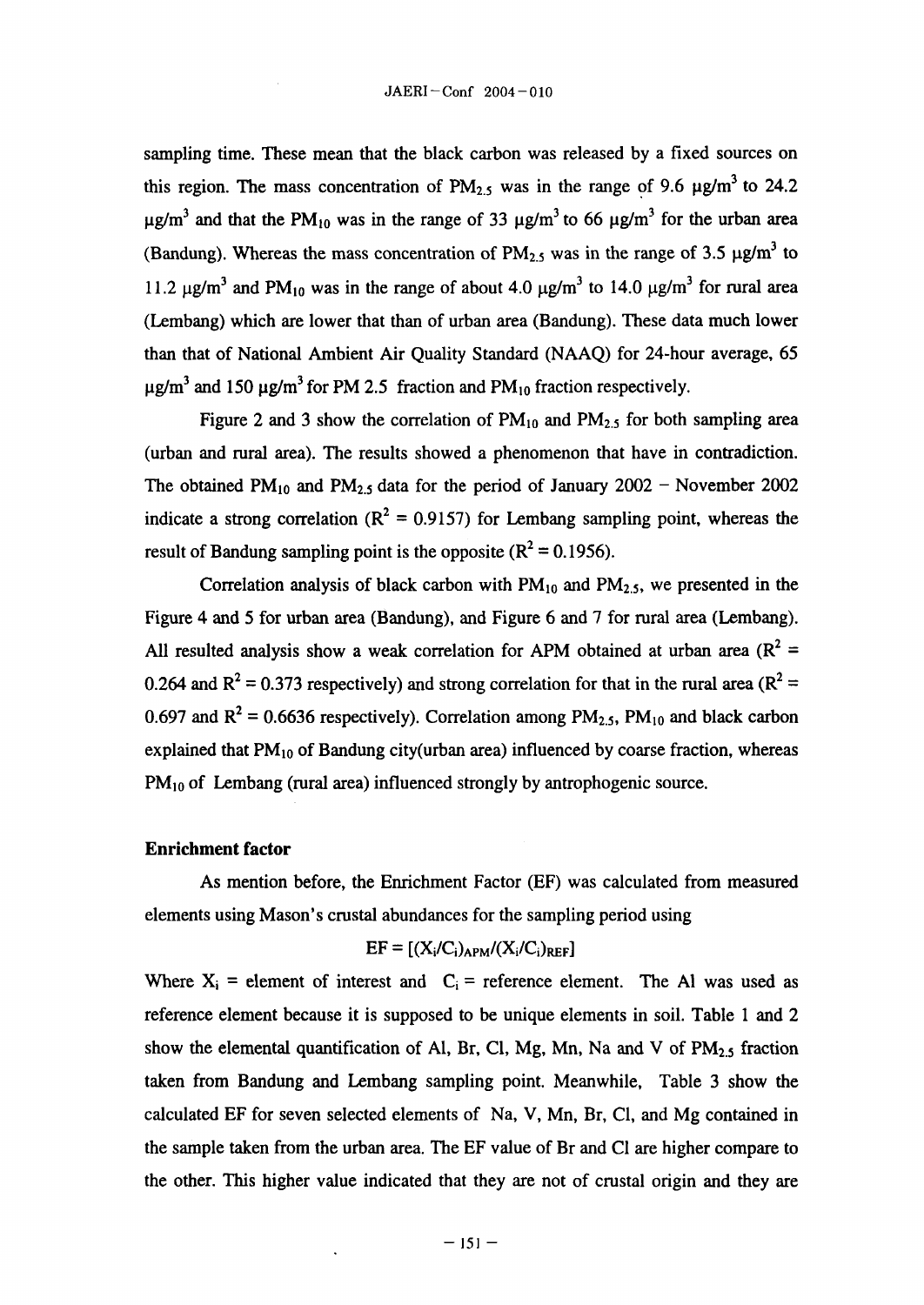sampling time. These mean that the black carbon was released by a fixed sources on this region. The mass concentration of  $PM_{2.5}$  was in the range of 9.6  $\mu$ g/m<sup>3</sup> to 24.2  $\mu$ g/m<sup>3</sup> and that the PM<sub>10</sub> was in the range of 33  $\mu$ g/m<sup>3</sup> to 66  $\mu$ g/m<sup>3</sup> for the urban area (Bandung). Whereas the mass concentration of  $PM_{2,5}$  was in the range of 3.5  $\mu\text{g/m}^3$  to 11.2  $\mu$ g/m<sup>3</sup> and PM<sub>10</sub> was in the range of about 4.0  $\mu$ g/m<sup>3</sup> to 14.0  $\mu$ g/m<sup>3</sup> for rural area (Lembang) which are lower that than of urban area (Bandung). These data much lower than that of National Ambient Air Quality Standard (NAAQ) for 24-hour average, 65  $\mu$ g/m<sup>3</sup> and 150  $\mu$ g/m<sup>3</sup> for PM 2.5 fraction and PM<sub>10</sub> fraction respectively.

Figure 2 and 3 show the correlation of  $PM_{10}$  and  $PM_{2.5}$  for both sampling area (urban and rural area). The results showed a phenomenon that have in contradiction. The obtained PM<sub>10</sub> and PM<sub>2.5</sub> data for the period of January 2002 - November 2002 indicate a strong correlation ( $R^2 = 0.9157$ ) for Lembang sampling point, whereas the result of Bandung sampling point is the opposite  $(R^2 = 0.1956)$ .

Correlation analysis of black carbon with  $PM_{10}$  and  $PM_{2.5}$ , we presented in the Figure 4 and 5 for urban area (Bandung), and Figure 6 and 7 for rural area (Lembang). All resulted analysis show a weak correlation for APM obtained at urban area ( $R^2$  = 0.264 and  $R^2$  = 0.373 respectively) and strong correlation for that in the rural area ( $R^2$  = 0.697 and  $R^2$  = 0.6636 respectively). Correlation among PM<sub>2.5</sub>, PM<sub>10</sub> and black carbon explained that  $PM_{10}$  of Bandung city(urban area) influenced by coarse fraction, whereas  $PM_{10}$  of Lembang (rural area) influenced strongly by antrophogenic source.

#### **Enrichment factor**

As mention before, the Enrichment Factor (EF) was calculated from measured elements using Mason's crustal abundances for the sampling period using

# $EF = [(X_i/C_i)_{APM}/(X_i/C_i)_{REF}]$

Where  $X_i$  = element of interest and  $C_i$  = reference element. The Al was used as reference element because it is supposed to be unique elements in soil. Table I and 2 show the elemental quantification of Al, Br, Cl, Mg, Mn, Na and V of  $PM_{2.5}$  fraction taken from Bandung and Lernbang sampling point. Meanwhile, Table 3 show the calculated EF for seven selected elements of Na, V, Mn, Br, C1, and Mg contained in the sample taken from the urban area. The EF value of Br and Cl are higher compare to the other. This higher value indicated that they are not of crustal origin and they are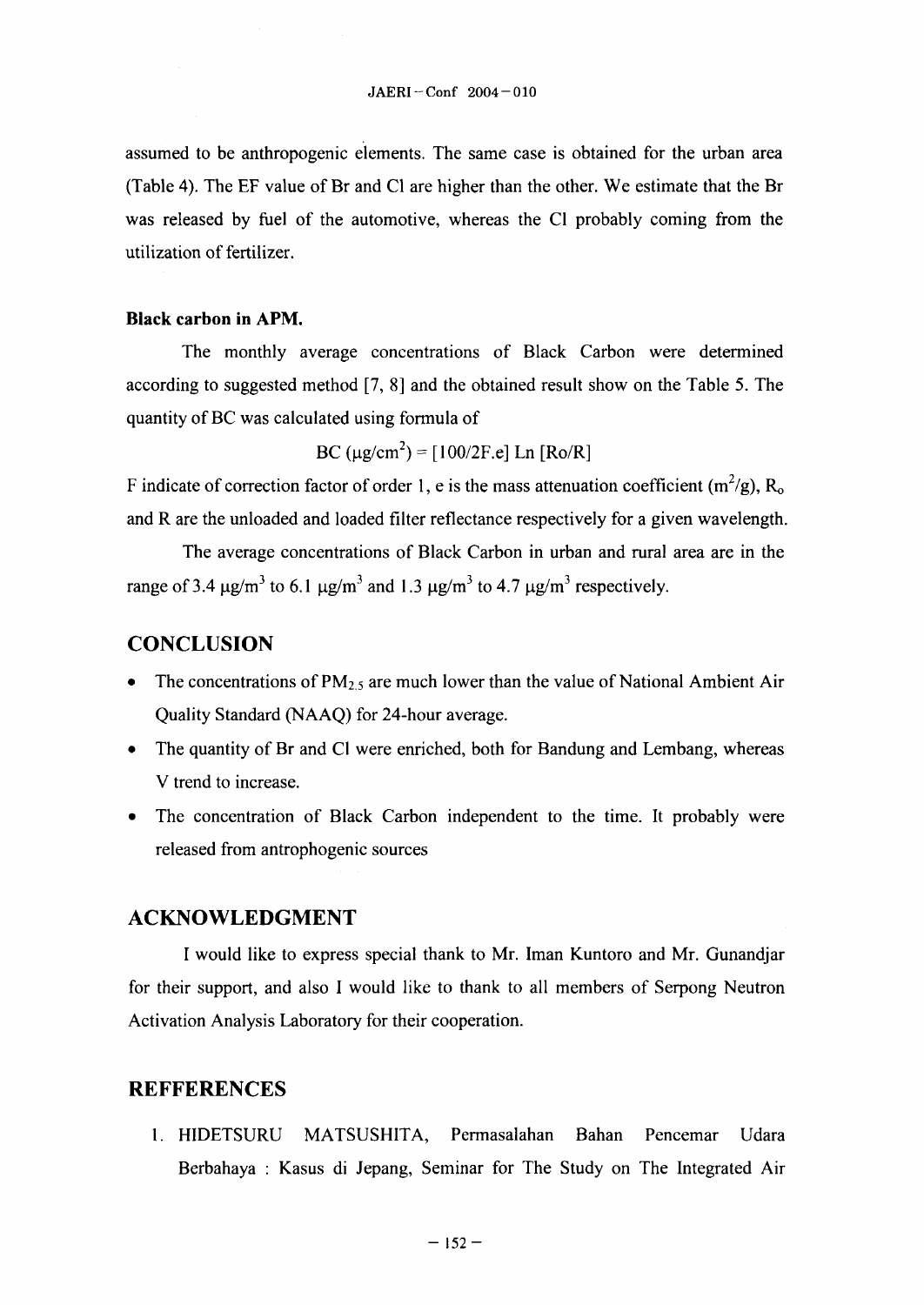assumed to be anthropogenic elements. The same case is obtained for the urban area (Table 4). The EF value of Br and Cl are higher than the other. We estimate that the Br was released by fuel of the automotive, whereas the Cl probably coming from the utilization of fertilizer.

## **Black carbon in APM.**

The monthly average concentrations of Black Carbon were determined according to suggested method  $[7, 8]$  and the obtained result show on the Table 5. The quantity of BC was calculated using formula of

BC  $(\mu g/cm^2) = [100/2F.e]$  Ln  $[Ro/R]$ 

F indicate of correction factor of order 1, e is the mass attenuation coefficient  $(m^2/g)$ , R<sub>o</sub> and R are the unloaded and loaded filter reflectance respectively for a given wavelength.

The average concentrations of Black Carbon in urban and rural area are in the range of 3.4  $\mu$ g/m<sup>3</sup> to 6.1  $\mu$ g/m<sup>3</sup> and 1.3  $\mu$ g/m<sup>3</sup> to 4.7  $\mu$ g/m<sup>3</sup> respectively.

# **CONCLUSION**

- The concentrations of  $PM_{2.5}$  are much lower than the value of National Ambient Air Quality Standard (NAAQ) for 24-hour average.
- The quantity of Br and Cl were enriched, both for Bandung and Lembang, whereas V trend to increase.
- The concentration of Black Carbon independent to the time. It probably were released from antrophogenic sources

## **ACKNOWLEDGMENT**

I would like to express special thank to Mr. Iman Kuntoro and Mr. Gunandjar for **their** support, and also I would like to thank to all members of Serpong Neutron Activation Analysis Laboratory for their cooperation.

## **REFFERENCES**

**1.** HIDETSURU MATSUSHITA, Permasalahan Bahan Pencemar Udara Berbahaya : Kasus di Jepang, Seminar for The Study on The Integrated Air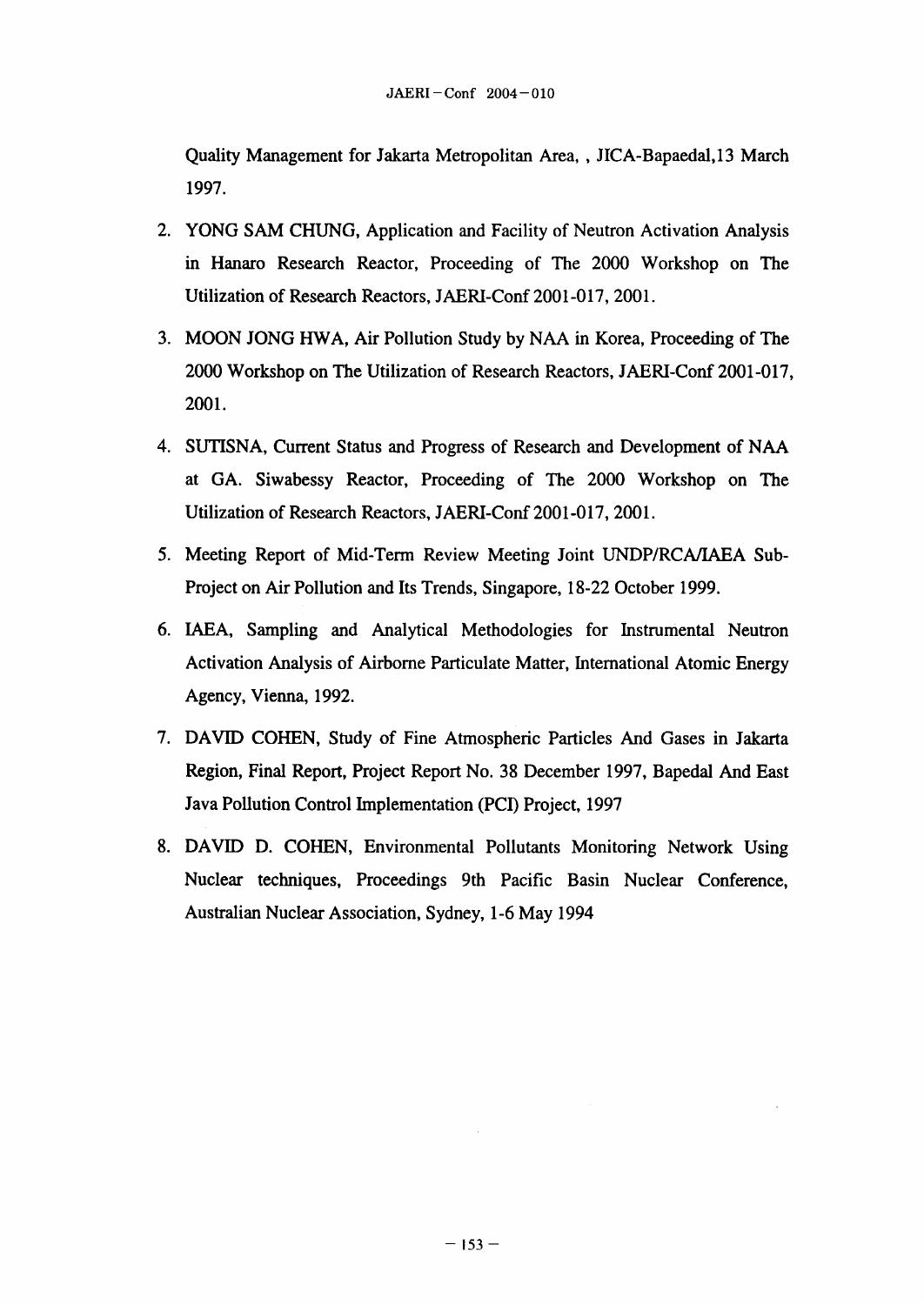Quality Management for Jakarta Metropolitan Area, JICA-Bapaedal,13 March 1997.

- 2. YONG SAM CHUNG, Application and Facility of Neutron Activation Analysis in Hanaro Research Reactor, Proceeding of The 2000 Workshop on The Utilization of Research Reactors, JAERI-Conf 2001-017, 2001.
- 3. MOON JONG HWA, Air Pollution Study by NAA in Korea, Proceeding of The 2000 Workshop on The Utilization of Research Reactors, JAERI-Conf 2001-017, 2001.
- 4. SUTISNA, Current Status and Progress of Research and Development of NAA at GA. Siwabessy Reactor, Proceeding of The 2000 Workshop on The Utilization of Research Reactors, JAERI-Conf 2001-017, 2001.
- *5.* Meeting Report of Mid-Term Review Meeting Joint UNDP/RCA/1AEA Sub-Project on Air Pollution and Its Trends, Singapore, 18-22 October 1999.
- 6. LAEA, Sampling and Analytical Methodologies for Instrumental Neutron Activation Analysis of Airborne Particulate Matter, International Atomic Energy Agency, Vienna, 1992.
- 7. DAVID COHEN, Study of Fine Atmospheric Particles And Gases in Jakarta Region, Final Report, Project Report No. 38 December 1997, Bapedal And East Java Pollution Control Implementation (PCI) Project, 1997
- 8. DAVID D. COHEN, Environmental Pollutants Monitoring Network Using Nuclear techniques, Proceedings 9th Pacific Basin Nuclear Conference, Australian Nuclear Association, Sydney, 1-6 May 1994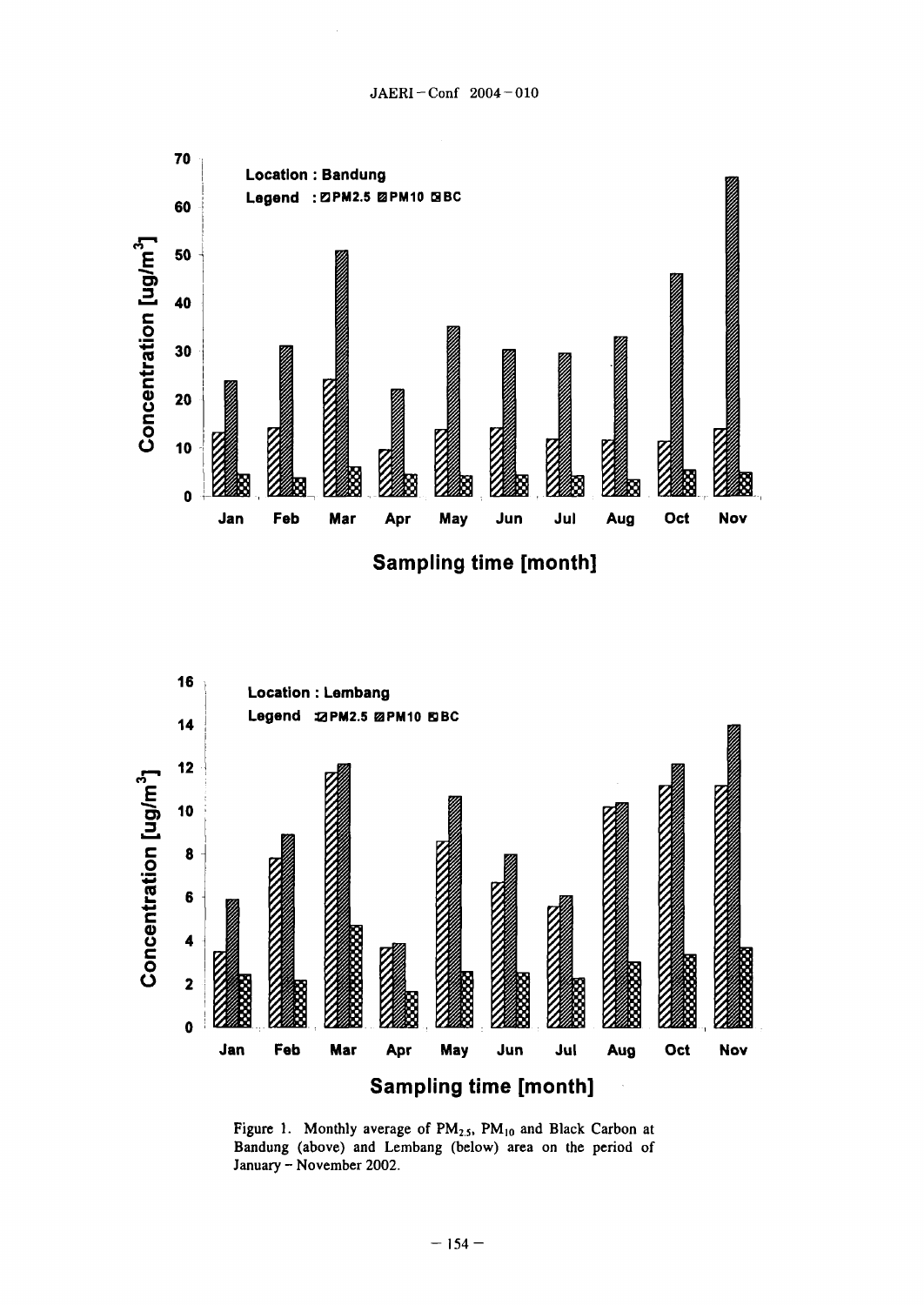

Sampling time [month]



Figure 1. Monthly average of PM<sub>2.5</sub>, PM<sub>10</sub> and Black Carbon at Bandung (above) and Lembang (below) area on the period of January - November 2002.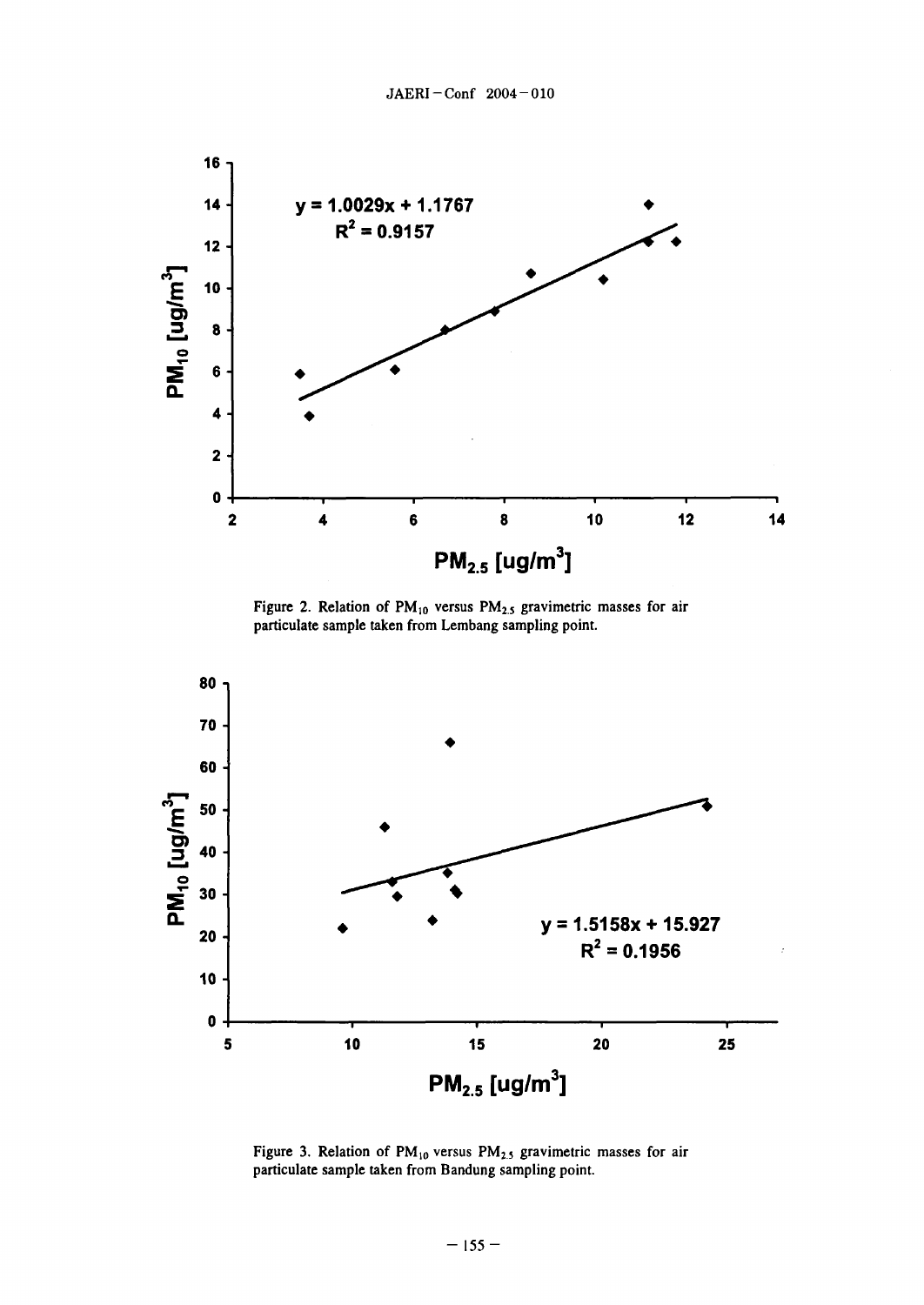

Figure 2. Relation of  $PM_{10}$  versus  $PM_{2.5}$  gravimetric masses for air particulate sample taken from Lembang sampling point.



Figure 3. Relation of  $PM_{10}$  versus  $PM_{2.5}$  gravimetric masses for air particulate sample taken from Bandung sampling point.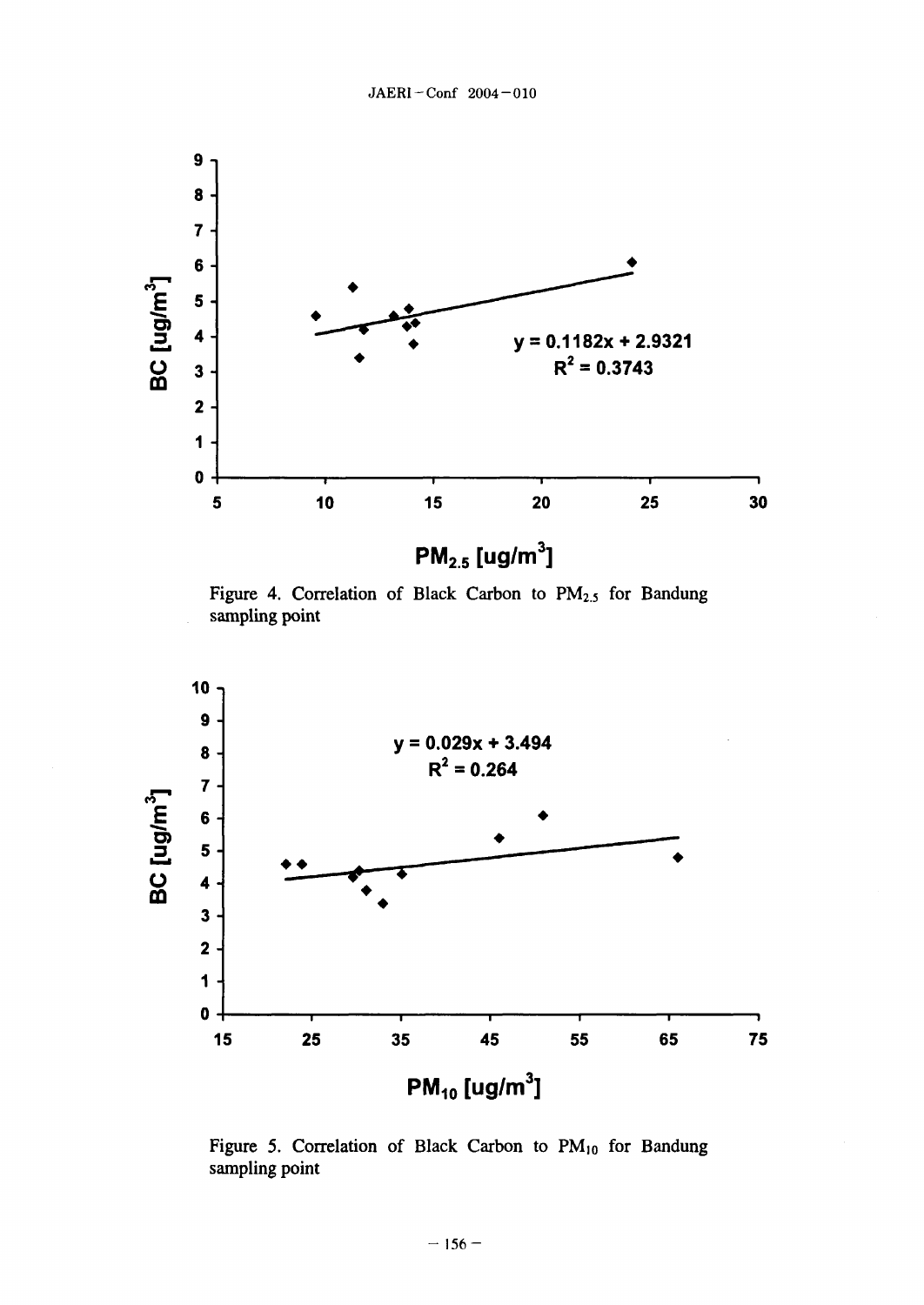

**PM2.5 [Ug/M3]**

Figure 4. Correlation of Black Carbon to  $PM_{2.5}$  for Bandung sampling point



Figure 5. Correlation of Black Carbon to  $PM_{10}$  for Bandung sampling point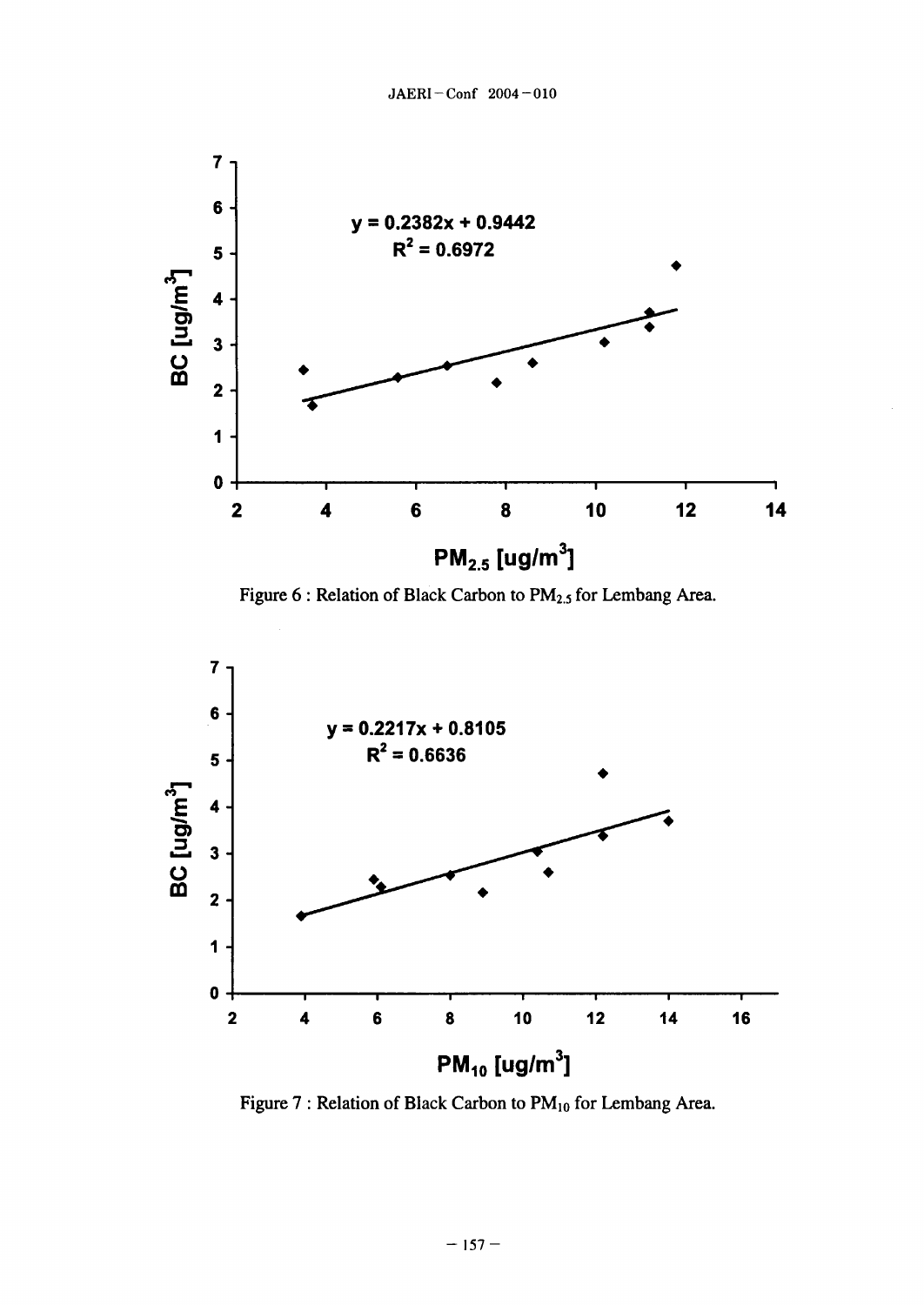

Figure 6 : Relation of Black Carbon to PM<sub>2.5</sub> for Lembang Area.



Figure 7 : Relation of Black Carbon to PM<sub>10</sub> for Lembang Area.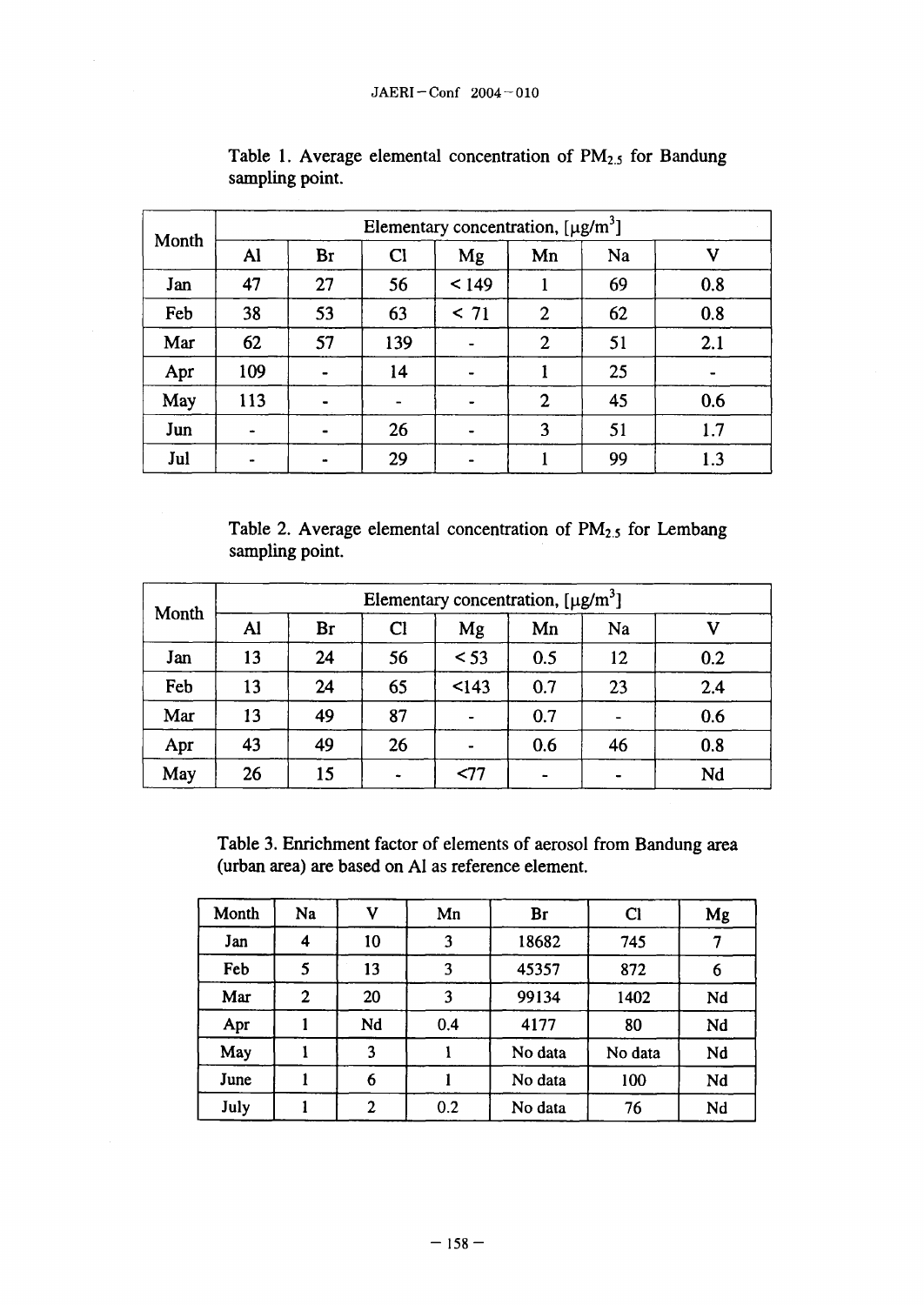| Month | Elementary concentration, $[\mu g/m^3]$ |    |              |       |                |    |     |  |
|-------|-----------------------------------------|----|--------------|-------|----------------|----|-----|--|
|       | Al                                      | Br | $\mathbf{C}$ | Mg    | Mn             | Na | v   |  |
| Jan   | 47                                      | 27 | 56           | < 149 |                | 69 | 0.8 |  |
| Feb   | 38                                      | 53 | 63           | < 71  | $\overline{2}$ | 62 | 0.8 |  |
| Mar   | 62                                      | 57 | 139          |       | $\mathbf{2}$   | 51 | 2.1 |  |
| Apr   | 109                                     |    | 14           |       |                | 25 | -   |  |
| May   | 113                                     |    |              |       | $\overline{2}$ | 45 | 0.6 |  |
| Jun   |                                         |    | 26           |       | 3              | 51 | 1.7 |  |
| Jul   |                                         |    | 29           |       |                | 99 | 1.3 |  |

Table 1. Average elemental concentration of  $PM_{2.5}$  for Bandung sampling point.

Table 2. Average elemental concentration of  $PM<sub>2.5</sub>$  for Lembang sampling point.

| Month | Elementary concentration, $[\mu g/m^3]$ |    |    |        |     |    |     |  |
|-------|-----------------------------------------|----|----|--------|-----|----|-----|--|
|       | Al                                      | Br | Cl | Mg     | Mn  | Na |     |  |
| Jan   | 13                                      | 24 | 56 | $<$ 53 | 0.5 | 12 | 0.2 |  |
| Feb   | 13                                      | 24 | 65 | < 143  | 0.7 | 23 | 2.4 |  |
| Mar   | 13                                      | 49 | 87 |        | 0.7 |    | 0.6 |  |
| Apr   | 43                                      | 49 | 26 |        | 0.6 | 46 | 0.8 |  |
| May   | 26                                      | 15 |    | < 77   |     | -  | Nd  |  |

Table 3. Enrichment factor of elements of aerosol from Bandung area (urban area) are based on Al as reference element.

| Month | <b>Na</b>        |                | Mn  | Br      | $\mathbf{C}$ | Mg |
|-------|------------------|----------------|-----|---------|--------------|----|
| Jan   | $\boldsymbol{4}$ | 10             | 3   | 18682   | 745          |    |
| Feb   | 5                | 13             | 3   | 45357   | 872          | 6  |
| Mar   | $\overline{2}$   | 20             | 3   | 99134   | 1402         | Nd |
| Apr   |                  | Nd             | 0.4 | 4177    | 80           | Nd |
| May   |                  | 3              |     | No data | No data      | Nd |
| June  |                  | 6              |     | No data | 100          | Nd |
| July  |                  | $\overline{2}$ | 0.2 | No data | 76           | Nd |